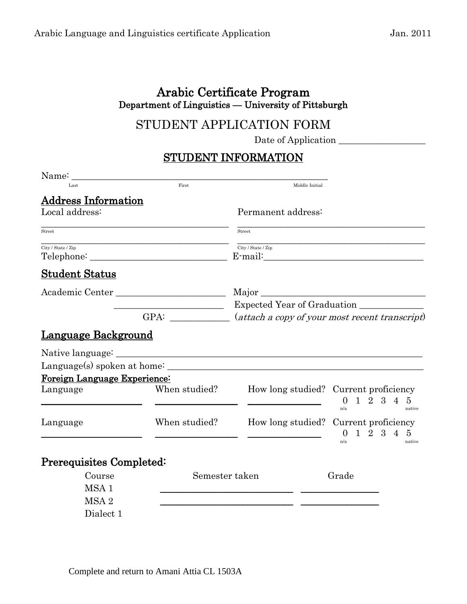## Arabic Certificate Program Department of Linguistics — University of Pittsburgh

# STUDENT APPLICATION FORM

Date of Application

### STUDENT INFORMATION

| Name:                        |                                                             |                                                                  |                                                                                                          |
|------------------------------|-------------------------------------------------------------|------------------------------------------------------------------|----------------------------------------------------------------------------------------------------------|
| Last                         | First                                                       | Middle Initial                                                   |                                                                                                          |
| <b>Address Information</b>   |                                                             |                                                                  |                                                                                                          |
| Local address:               |                                                             | Permanent address:                                               |                                                                                                          |
| Street                       |                                                             | Street                                                           |                                                                                                          |
| City / State / Zip           |                                                             | City / State / Zip                                               |                                                                                                          |
| <b>Student Status</b>        |                                                             |                                                                  |                                                                                                          |
|                              |                                                             | Major                                                            |                                                                                                          |
|                              | <u> 1989 - Johann Barn, mars ann an t-Amhair ann an t-A</u> | Expected Year of Graduation                                      |                                                                                                          |
|                              |                                                             | GPA: ____________ (attach a copy of your most recent transcript) |                                                                                                          |
| Language Background          |                                                             |                                                                  |                                                                                                          |
|                              |                                                             |                                                                  |                                                                                                          |
|                              |                                                             |                                                                  |                                                                                                          |
| Foreign Language Experience: |                                                             |                                                                  |                                                                                                          |
| Language                     | When studied?                                               |                                                                  | How long studied? Current proficiency<br>1 2 3 4 5<br>$\overline{0}$<br>n/a<br>native                    |
| Language                     | When studied?                                               |                                                                  | How long studied? Current proficiency<br>$1\ 2\ 3\ 4$<br>$\mathbf{5}$<br>$\overline{0}$<br>n/a<br>native |
| Prerequisites Completed:     |                                                             |                                                                  |                                                                                                          |
| Course                       | Semester taken                                              |                                                                  | Grade                                                                                                    |
| MSA <sub>1</sub>             |                                                             |                                                                  |                                                                                                          |
| MSA <sub>2</sub>             |                                                             |                                                                  |                                                                                                          |
| Dialect 1                    |                                                             |                                                                  |                                                                                                          |